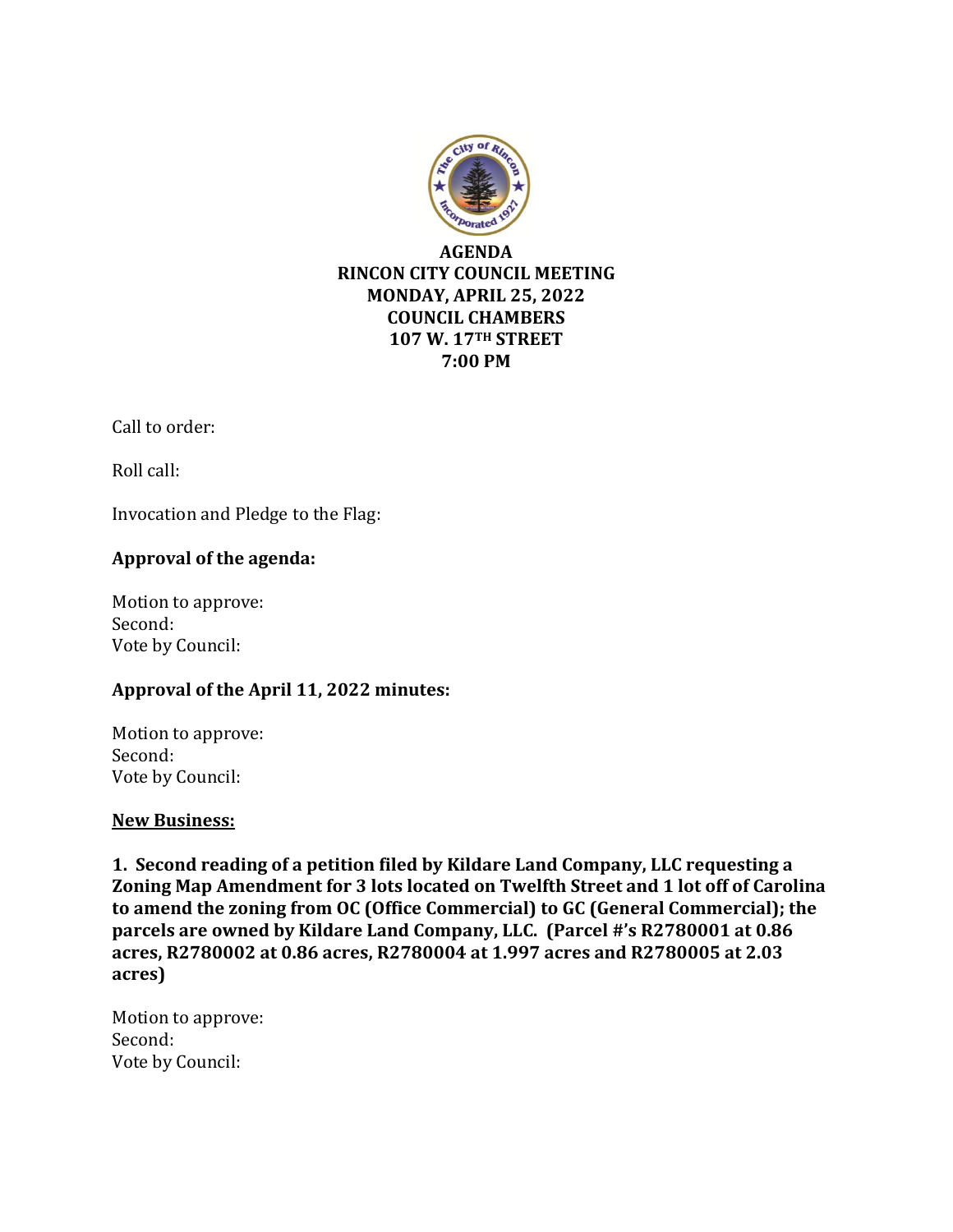

Call to order:

Roll call:

Invocation and Pledge to the Flag:

# **Approval of the agenda:**

Motion to approve: Second: Vote by Council:

# **Approval of the April 11, 2022 minutes:**

Motion to approve: Second: Vote by Council:

#### **New Business:**

**1. Second reading of a petition filed by Kildare Land Company, LLC requesting a Zoning Map Amendment for 3 lots located on Twelfth Street and 1 lot off of Carolina to amend the zoning from OC (Office Commercial) to GC (General Commercial); the parcels are owned by Kildare Land Company, LLC. (Parcel #'s R2780001 at 0.86 acres, R2780002 at 0.86 acres, R2780004 at 1.997 acres and R2780005 at 2.03 acres)**

Motion to approve: Second: Vote by Council: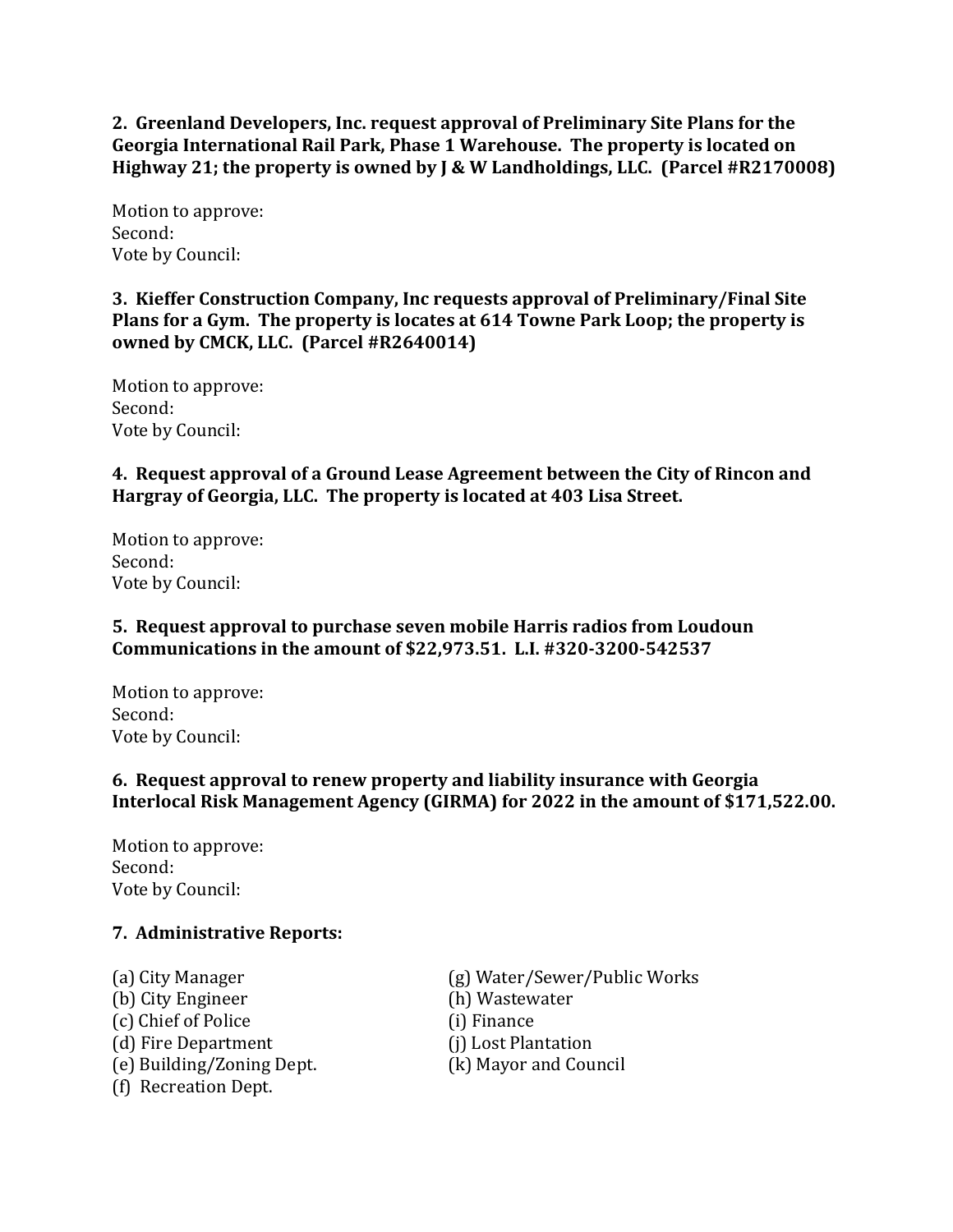**2. Greenland Developers, Inc. request approval of Preliminary Site Plans for the Georgia International Rail Park, Phase 1 Warehouse. The property is located on Highway 21; the property is owned by J & W Landholdings, LLC. (Parcel #R2170008)** 

Motion to approve: Second: Vote by Council:

**3. Kieffer Construction Company, Inc requests approval of Preliminary/Final Site Plans for a Gym. The property is locates at 614 Towne Park Loop; the property is owned by CMCK, LLC. (Parcel #R2640014)**

Motion to approve: Second: Vote by Council:

**4. Request approval of a Ground Lease Agreement between the City of Rincon and Hargray of Georgia, LLC. The property is located at 403 Lisa Street.** 

Motion to approve: Second: Vote by Council:

# **5. Request approval to purchase seven mobile Harris radios from Loudoun Communications in the amount of \$22,973.51. L.I. #320-3200-542537**

Motion to approve: Second: Vote by Council:

#### **6. Request approval to renew property and liability insurance with Georgia Interlocal Risk Management Agency (GIRMA) for 2022 in the amount of \$171,522.00.**

Motion to approve: Second: Vote by Council:

#### **7. Administrative Reports:**

(b) City Engineer (h) Wastewater (c) Chief of Police (i) Finance (d) Fire Department (j) Lost Plantation (e) Building/Zoning Dept. (k) Mayor and Council (f) Recreation Dept.

(a) City Manager (g) Water/Sewer/Public Works